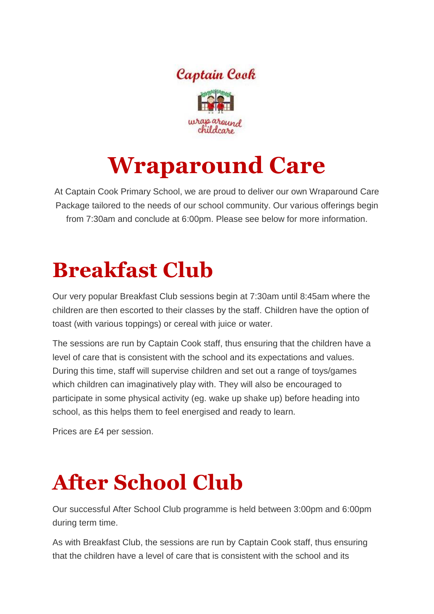

## **Wraparound Care**

At Captain Cook Primary School, we are proud to deliver our own Wraparound Care Package tailored to the needs of our school community. Our various offerings begin from 7:30am and conclude at 6:00pm. Please see below for more information.

## **Breakfast Club**

Our very popular Breakfast Club sessions begin at 7:30am until 8:45am where the children are then escorted to their classes by the staff. Children have the option of toast (with various toppings) or cereal with juice or water.

The sessions are run by Captain Cook staff, thus ensuring that the children have a level of care that is consistent with the school and its expectations and values. During this time, staff will supervise children and set out a range of toys/games which children can imaginatively play with. They will also be encouraged to participate in some physical activity (eg. wake up shake up) before heading into school, as this helps them to feel energised and ready to learn.

Prices are £4 per session.

## **After School Club**

Our successful After School Club programme is held between 3:00pm and 6:00pm during term time.

As with Breakfast Club, the sessions are run by Captain Cook staff, thus ensuring that the children have a level of care that is consistent with the school and its